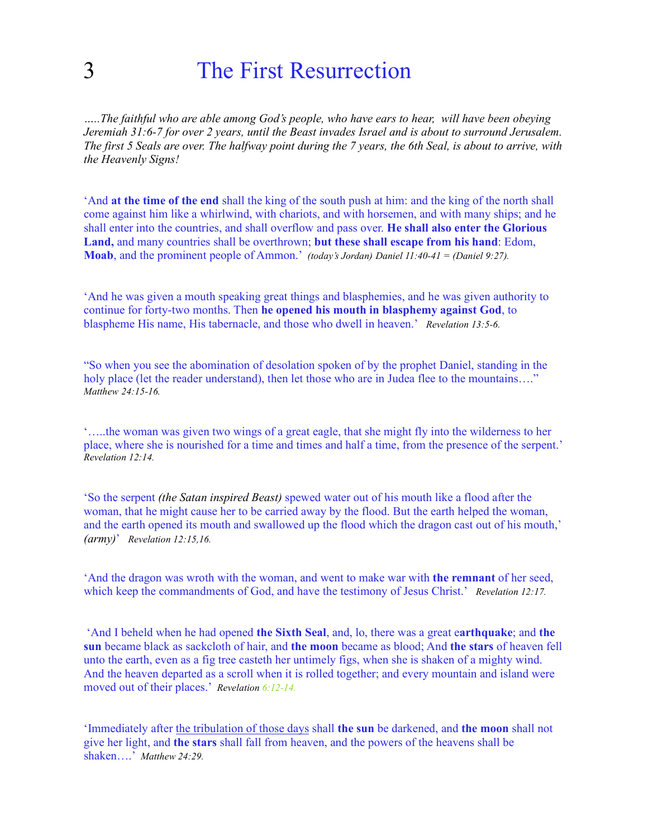## 3 The First Resurrection

*…..The faithful who are able among God's people, who have ears to hear, will have been obeying Jeremiah 31:6-7 for over 2 years, until the Beast invades Israel and is about to surround Jerusalem. The first 5 Seals are over. The halfway point during the 7 years, the 6th Seal, is about to arrive, with the Heavenly Signs!* 

'And **at the time of the end** shall the king of the south push at him: and the king of the north shall come against him like a whirlwind, with chariots, and with horsemen, and with many ships; and he shall enter into the countries, and shall overflow and pass over. **He shall also enter the Glorious Land,** and many countries shall be overthrown; **but these shall escape from his hand**: Edom, **Moab**, and the prominent people of Ammon.' *(today's Jordan) Daniel 11:40-41 = (Daniel 9:27).*

'And he was given a mouth speaking great things and blasphemies, and he was given authority to continue for forty-two months. Then **he opened his mouth in blasphemy against God**, to blaspheme His name, His tabernacle, and those who dwell in heaven.' *Revelation 13:5-6.*

"So when you see the abomination of desolation spoken of by the prophet Daniel, standing in the holy place (let the reader understand), then let those who are in Judea flee to the mountains...." *Matthew 24:15-16.*

'…..the woman was given two wings of a great eagle, that she might fly into the wilderness to her place, where she is nourished for a time and times and half a time, from the presence of the serpent.' *Revelation 12:14.*

'So the serpent *(the Satan inspired Beast)* spewed water out of his mouth like a flood after the woman, that he might cause her to be carried away by the flood. But the earth helped the woman, and the earth opened its mouth and swallowed up the flood which the dragon cast out of his mouth,' *(army)*' *Revelation 12:15,16.*

'And the dragon was wroth with the woman, and went to make war with **the remnant** of her seed, which keep the commandments of God, and have the testimony of Jesus Christ.' *Revelation 12:17.*

 'And I beheld when he had opened **the Sixth Seal**, and, lo, there was a great e**arthquake**; and **the sun** became black as sackcloth of hair, and **the moon** became as blood; And **the stars** of heaven fell unto the earth, even as a fig tree casteth her untimely figs, when she is shaken of a mighty wind. And the heaven departed as a scroll when it is rolled together; and every mountain and island were moved out of their places.' *Revelation 6:12-14.*

'Immediately after the tribulation of those days shall **the sun** be darkened, and **the moon** shall not give her light, and **the stars** shall fall from heaven, and the powers of the heavens shall be shaken….' *Matthew 24:29.*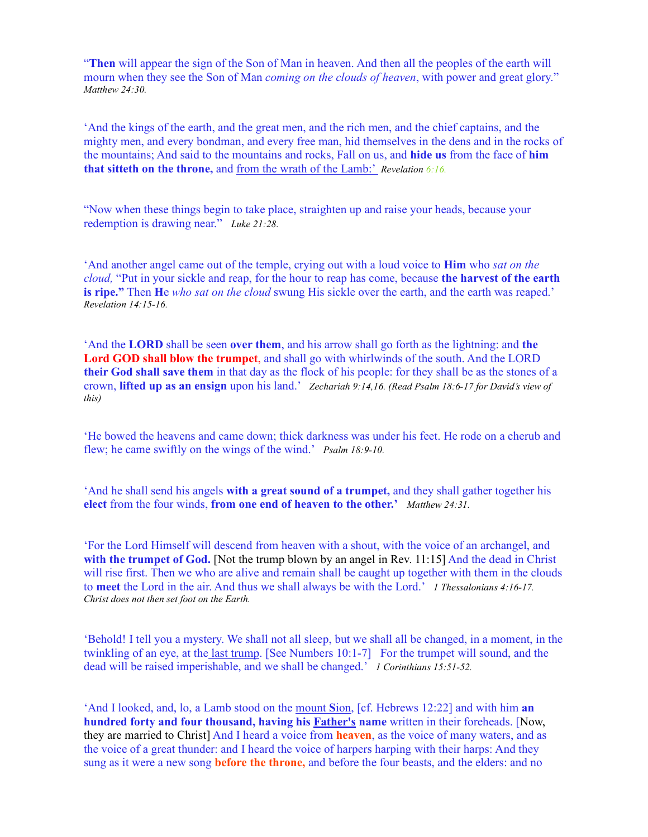"**Then** will appear the sign of the Son of Man in heaven. And then all the peoples of the earth will mourn when they see the Son of Man *coming on the clouds of heaven*, with power and great glory." *Matthew 24:30.*

'And the kings of the earth, and the great men, and the rich men, and the chief captains, and the mighty men, and every bondman, and every free man, hid themselves in the dens and in the rocks of the mountains; And said to the mountains and rocks, Fall on us, and **hide us** from the face of **him that sitteth on the throne,** and from the wrath of the Lamb:' *Revelation 6:16.*

"Now when these things begin to take place, straighten up and raise your heads, because your redemption is drawing near." *Luke 21:28.*

'And another angel came out of the temple, crying out with a loud voice to **Him** who *sat on the cloud,* "Put in your sickle and reap, for the hour to reap has come, because **the harvest of the earth is ripe."** Then **H**e *who sat on the cloud* swung His sickle over the earth, and the earth was reaped.' *Revelation 14:15-16.*

'And the **LORD** shall be seen **over them**, and his arrow shall go forth as the lightning: and **the Lord GOD shall blow the trumpet**, and shall go with whirlwinds of the south. And the LORD **their God shall save them** in that day as the flock of his people: for they shall be as the stones of a crown, **lifted up as an ensign** upon his land.' *Zechariah 9:14,16. (Read Psalm 18:6-17 for David's view of this)*

'He bowed the heavens and came down; thick darkness was under his feet. He rode on a cherub and flew; he came swiftly on the wings of the wind.' *Psalm 18:9-10.*

'And he shall send his angels **with a great sound of a trumpet,** and they shall gather together his **elect** from the four winds, **from one end of heaven to the other.'** *Matthew 24:31.*

'For the Lord Himself will descend from heaven with a shout, with the voice of an archangel, and **with the trumpet of God.** [Not the trump blown by an angel in Rev. 11:15] And the dead in Christ will rise first. Then we who are alive and remain shall be caught up together with them in the clouds to **meet** the Lord in the air. And thus we shall always be with the Lord.' *1 Thessalonians 4:16-17. Christ does not then set foot on the Earth.*

'Behold! I tell you a mystery. We shall not all sleep, but we shall all be changed, in a moment, in the twinkling of an eye, at the last trump. [See Numbers 10:1-7] For the trumpet will sound, and the dead will be raised imperishable, and we shall be changed.' *1 Corinthians 15:51-52.*

'And I looked, and, lo, a Lamb stood on the mount **S**ion, [cf. Hebrews 12:22] and with him **an hundred forty and four thousand, having his Father's name** written in their foreheads. [Now, they are married to Christ] And I heard a voice from **heaven**, as the voice of many waters, and as the voice of a great thunder: and I heard the voice of harpers harping with their harps: And they sung as it were a new song **before the throne,** and before the four beasts, and the elders: and no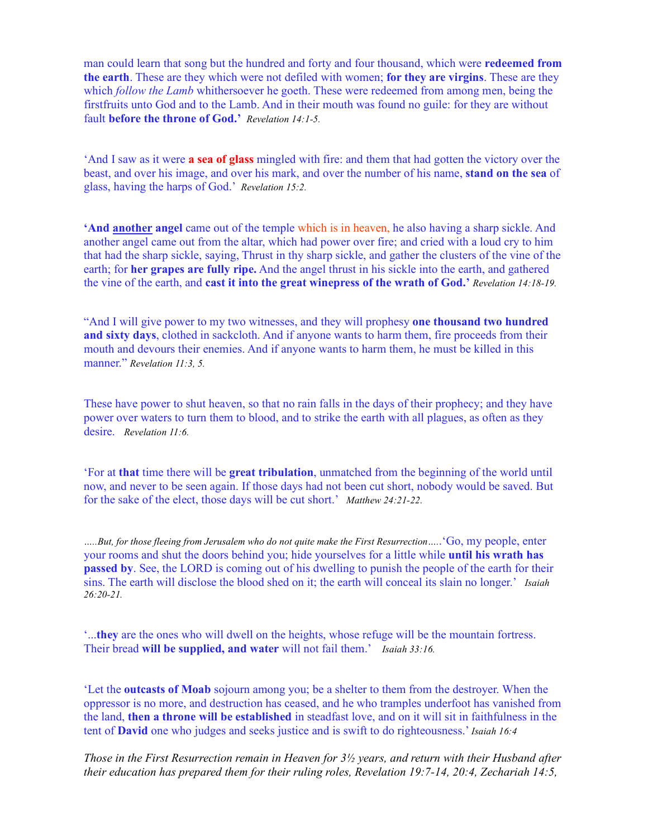man could learn that song but the hundred and forty and four thousand, which were **redeemed from the earth**. These are they which were not defiled with women; **for they are virgins**. These are they which *follow the Lamb* whithersoever he goeth. These were redeemed from among men, being the firstfruits unto God and to the Lamb. And in their mouth was found no guile: for they are without fault **before the throne of God.'** *Revelation 14:1-5.*

'And I saw as it were **a sea of glass** mingled with fire: and them that had gotten the victory over the beast, and over his image, and over his mark, and over the number of his name, **stand on the sea** of glass, having the harps of God.' *Revelation 15:2.*

**'And another angel** came out of the temple which is in heaven, he also having a sharp sickle. And another angel came out from the altar, which had power over fire; and cried with a loud cry to him that had the sharp sickle, saying, Thrust in thy sharp sickle, and gather the clusters of the vine of the earth; for **her grapes are fully ripe.** And the angel thrust in his sickle into the earth, and gathered the vine of the earth, and **cast it into the great winepress of the wrath of God.'** *Revelation 14:18-19.*

"And I will give power to my two witnesses, and they will prophesy **one thousand two hundred and sixty days**, clothed in sackcloth. And if anyone wants to harm them, fire proceeds from their mouth and devours their enemies. And if anyone wants to harm them, he must be killed in this manner." *Revelation 11:3, 5.*

These have power to shut heaven, so that no rain falls in the days of their prophecy; and they have power over waters to turn them to blood, and to strike the earth with all plagues, as often as they desire. *Revelation 11:6.*

'For at **that** time there will be **great tribulation**, unmatched from the beginning of the world until now, and never to be seen again. If those days had not been cut short, nobody would be saved. But for the sake of the elect, those days will be cut short.' *Matthew 24:21-22.*

*…..But, for those fleeing from Jerusalem who do not quite make the First Resurrection….*.'Go, my people, enter your rooms and shut the doors behind you; hide yourselves for a little while **until his wrath has passed by**. See, the LORD is coming out of his dwelling to punish the people of the earth for their sins. The earth will disclose the blood shed on it; the earth will conceal its slain no longer.' *Isaiah 26:20-21.*

'...**they** are the ones who will dwell on the heights, whose refuge will be the mountain fortress. Their bread **will be supplied, and water** will not fail them.' *Isaiah 33:16.*

'Let the **outcasts of Moab** sojourn among you; be a shelter to them from the destroyer. When the oppressor is no more, and destruction has ceased, and he who tramples underfoot has vanished from the land, **then a throne will be established** in steadfast love, and on it will sit in faithfulness in the tent of **David** one who judges and seeks justice and is swift to do righteousness.' *Isaiah 16:4* 

*Those in the First Resurrection remain in Heaven for 3½ years, and return with their Husband after their education has prepared them for their ruling roles, Revelation 19:7-14, 20:4, Zechariah 14:5,*